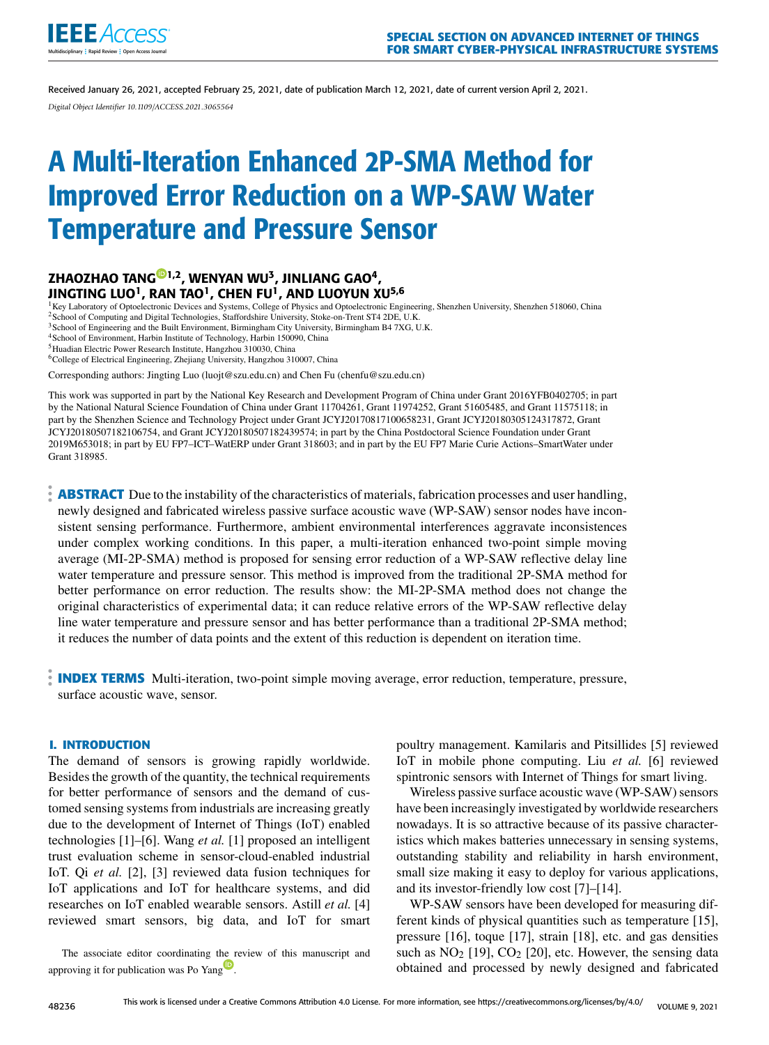

Received January 26, 2021, accepted February 25, 2021, date of publication March 12, 2021, date of current version April 2, 2021. *Digital Object Identifier 10.1109/ACCESS.2021.3065564*

# A Multi-Iteration Enhanced 2P-SMA Method for Improved Error Reduction on a WP-SAW Water Temperature and Pressure Sensor

# ZHAOZHAO TAN[G](https://orcid.org/0000-0002-6814-2131)®1,2, WENYAN WU<sup>3</sup>, JINLIANG GAO<sup>4</sup>, JINGTING LUO $^1$ , RAN TAO $^1$ , CHEN FU $^1$ , AND LUOYUN XU $^{5,6}$

<sup>1</sup>Key Laboratory of Optoelectronic Devices and Systems, College of Physics and Optoelectronic Engineering, Shenzhen University, Shenzhen 518060, China <sup>2</sup> School of Computing and Digital Technologies, Staffordshire University, Stoke-on-Trent ST4 2DE, U.K.

<sup>3</sup> School of Engineering and the Built Environment, Birmingham City University, Birmingham B4 7XG, U.K.

<sup>4</sup>School of Environment, Harbin Institute of Technology, Harbin 150090, China

<sup>5</sup>Huadian Electric Power Research Institute, Hangzhou 310030, China

<sup>6</sup>College of Electrical Engineering, Zhejiang University, Hangzhou 310007, China

Corresponding authors: Jingting Luo (luojt@szu.edu.cn) and Chen Fu (chenfu@szu.edu.cn)

This work was supported in part by the National Key Research and Development Program of China under Grant 2016YFB0402705; in part by the National Natural Science Foundation of China under Grant 11704261, Grant 11974252, Grant 51605485, and Grant 11575118; in part by the Shenzhen Science and Technology Project under Grant JCYJ20170817100658231, Grant JCYJ20180305124317872, Grant JCYJ20180507182106754, and Grant JCYJ20180507182439574; in part by the China Postdoctoral Science Foundation under Grant 2019M653018; in part by EU FP7–ICT–WatERP under Grant 318603; and in part by the EU FP7 Marie Curie Actions–SmartWater under Grant 318985.

**ABSTRACT** Due to the instability of the characteristics of materials, fabrication processes and user handling, newly designed and fabricated wireless passive surface acoustic wave (WP-SAW) sensor nodes have inconsistent sensing performance. Furthermore, ambient environmental interferences aggravate inconsistences under complex working conditions. In this paper, a multi-iteration enhanced two-point simple moving average (MI-2P-SMA) method is proposed for sensing error reduction of a WP-SAW reflective delay line water temperature and pressure sensor. This method is improved from the traditional 2P-SMA method for better performance on error reduction. The results show: the MI-2P-SMA method does not change the original characteristics of experimental data; it can reduce relative errors of the WP-SAW reflective delay line water temperature and pressure sensor and has better performance than a traditional 2P-SMA method; it reduces the number of data points and the extent of this reduction is dependent on iteration time.

**INDEX TERMS** Multi-iteration, two-point simple moving average, error reduction, temperature, pressure, surface acoustic wave, sensor.

# **I. INTRODUCTION**

The demand of sensors is growing rapidly worldwide. Besides the growth of the quantity, the technical requirements for better performance of sensors and the demand of customed sensing systems from industrials are increasing greatly due to the development of Internet of Things (IoT) enabled technologies [1]–[6]. Wang *et al.* [1] proposed an intelligent trust evaluation scheme in sensor-cloud-enabled industrial IoT. Qi *et al.* [2], [3] reviewed data fusion techniques for IoT applications and IoT for healthcare systems, and did researches on IoT enabled wearable sensors. Astill *et al.* [4] reviewed smart sensors, big data, and IoT for smart

The associate editor coordinating t[he r](https://orcid.org/0000-0002-8553-7127)eview of this manuscript and approving it for publication was Po Yang

poultry management. Kamilaris and Pitsillides [5] reviewed IoT in mobile phone computing. Liu *et al.* [6] reviewed spintronic sensors with Internet of Things for smart living.

Wireless passive surface acoustic wave (WP-SAW) sensors have been increasingly investigated by worldwide researchers nowadays. It is so attractive because of its passive characteristics which makes batteries unnecessary in sensing systems, outstanding stability and reliability in harsh environment, small size making it easy to deploy for various applications, and its investor-friendly low cost [7]–[14].

WP-SAW sensors have been developed for measuring different kinds of physical quantities such as temperature [15], pressure [16], toque [17], strain [18], etc. and gas densities such as  $NO<sub>2</sub>$  [19],  $CO<sub>2</sub>$  [20], etc. However, the sensing data obtained and processed by newly designed and fabricated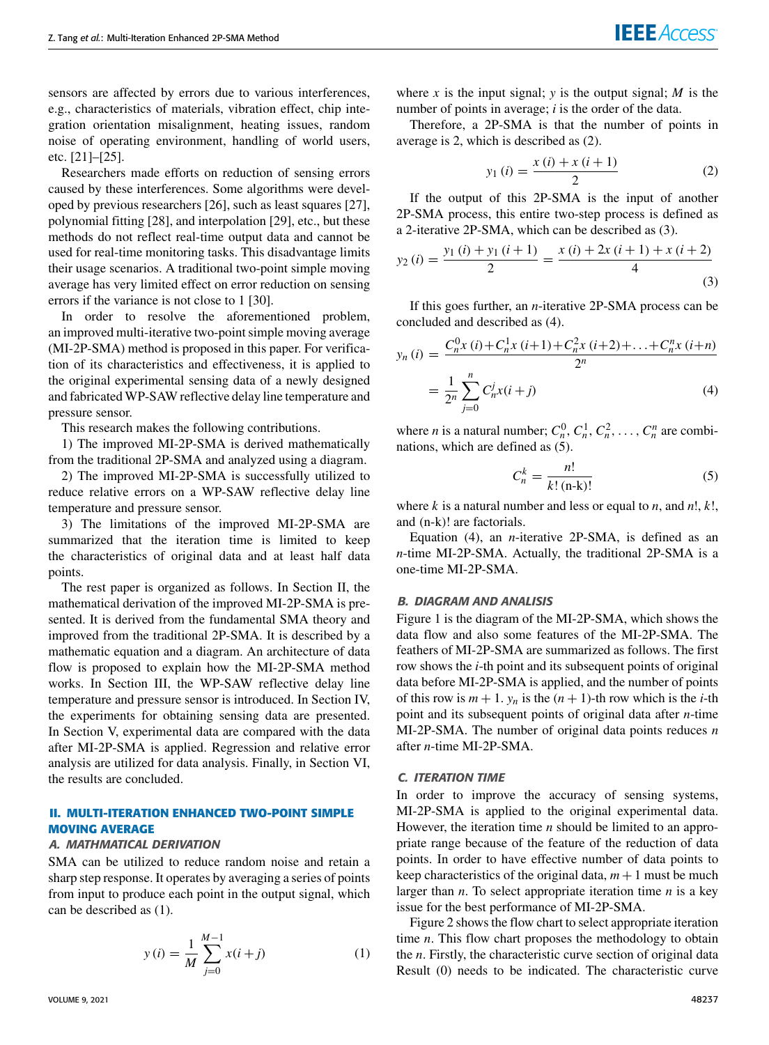sensors are affected by errors due to various interferences, e.g., characteristics of materials, vibration effect, chip integration orientation misalignment, heating issues, random noise of operating environment, handling of world users, etc. [21]–[25].

Researchers made efforts on reduction of sensing errors caused by these interferences. Some algorithms were developed by previous researchers [26], such as least squares [27], polynomial fitting [28], and interpolation [29], etc., but these methods do not reflect real-time output data and cannot be used for real-time monitoring tasks. This disadvantage limits their usage scenarios. A traditional two-point simple moving average has very limited effect on error reduction on sensing errors if the variance is not close to 1 [30].

In order to resolve the aforementioned problem, an improved multi-iterative two-point simple moving average (MI-2P-SMA) method is proposed in this paper. For verification of its characteristics and effectiveness, it is applied to the original experimental sensing data of a newly designed and fabricated WP-SAW reflective delay line temperature and pressure sensor.

This research makes the following contributions.

1) The improved MI-2P-SMA is derived mathematically from the traditional 2P-SMA and analyzed using a diagram.

2) The improved MI-2P-SMA is successfully utilized to reduce relative errors on a WP-SAW reflective delay line temperature and pressure sensor.

3) The limitations of the improved MI-2P-SMA are summarized that the iteration time is limited to keep the characteristics of original data and at least half data points.

The rest paper is organized as follows. In Section II, the mathematical derivation of the improved MI-2P-SMA is presented. It is derived from the fundamental SMA theory and improved from the traditional 2P-SMA. It is described by a mathematic equation and a diagram. An architecture of data flow is proposed to explain how the MI-2P-SMA method works. In Section III, the WP-SAW reflective delay line temperature and pressure sensor is introduced. In Section IV, the experiments for obtaining sensing data are presented. In Section V, experimental data are compared with the data after MI-2P-SMA is applied. Regression and relative error analysis are utilized for data analysis. Finally, in Section VI, the results are concluded.

# **II. MULTI-ITERATION ENHANCED TWO-POINT SIMPLE MOVING AVERAGE**

#### A. MATHMATICAL DERIVATION

SMA can be utilized to reduce random noise and retain a sharp step response. It operates by averaging a series of points from input to produce each point in the output signal, which can be described as (1).

$$
y(i) = \frac{1}{M} \sum_{j=0}^{M-1} x(i+j)
$$
 (1)

where *x* is the input signal; *y* is the output signal; *M* is the number of points in average; *i* is the order of the data.

Therefore, a 2P-SMA is that the number of points in average is 2, which is described as (2).

$$
y_1(i) = \frac{x(i) + x(i+1)}{2} \tag{2}
$$

If the output of this 2P-SMA is the input of another 2P-SMA process, this entire two-step process is defined as a 2-iterative 2P-SMA, which can be described as (3).

$$
y_2(i) = \frac{y_1(i) + y_1(i+1)}{2} = \frac{x(i) + 2x(i+1) + x(i+2)}{4}
$$
\n(3)

If this goes further, an *n*-iterative 2P-SMA process can be concluded and described as (4).

$$
y_n(i) = \frac{C_n^0 x(i) + C_n^1 x(i+1) + C_n^2 x(i+2) + \ldots + C_n^n x(i+n)}{2^n}
$$
  
= 
$$
\frac{1}{2^n} \sum_{j=0}^n C_n^j x(i+j)
$$
 (4)

where *n* is a natural number;  $C_n^0$ ,  $C_n^1$ ,  $C_n^2$ , ...,  $C_n^n$  are combinations, which are defined as (5).

$$
C_n^k = \frac{n!}{k! \left( \mathbf{n} \cdot \mathbf{k} \right)!} \tag{5}
$$

where *k* is a natural number and less or equal to *n*, and *n*!, *k*!, and (n-k)! are factorials.

Equation (4), an *n*-iterative 2P-SMA, is defined as an *n*-time MI-2P-SMA. Actually, the traditional 2P-SMA is a one-time MI-2P-SMA.

#### B. DIAGRAM AND ANALISIS

Figure 1 is the diagram of the MI-2P-SMA, which shows the data flow and also some features of the MI-2P-SMA. The feathers of MI-2P-SMA are summarized as follows. The first row shows the *i*-th point and its subsequent points of original data before MI-2P-SMA is applied, and the number of points of this row is  $m + 1$ .  $y_n$  is the  $(n + 1)$ -th row which is the *i*-th point and its subsequent points of original data after *n*-time MI-2P-SMA. The number of original data points reduces *n* after *n*-time MI-2P-SMA.

# C. ITERATION TIME

In order to improve the accuracy of sensing systems, MI-2P-SMA is applied to the original experimental data. However, the iteration time *n* should be limited to an appropriate range because of the feature of the reduction of data points. In order to have effective number of data points to keep characteristics of the original data,  $m + 1$  must be much larger than *n*. To select appropriate iteration time *n* is a key issue for the best performance of MI-2P-SMA.

Figure 2 shows the flow chart to select appropriate iteration time *n*. This flow chart proposes the methodology to obtain the *n*. Firstly, the characteristic curve section of original data Result (0) needs to be indicated. The characteristic curve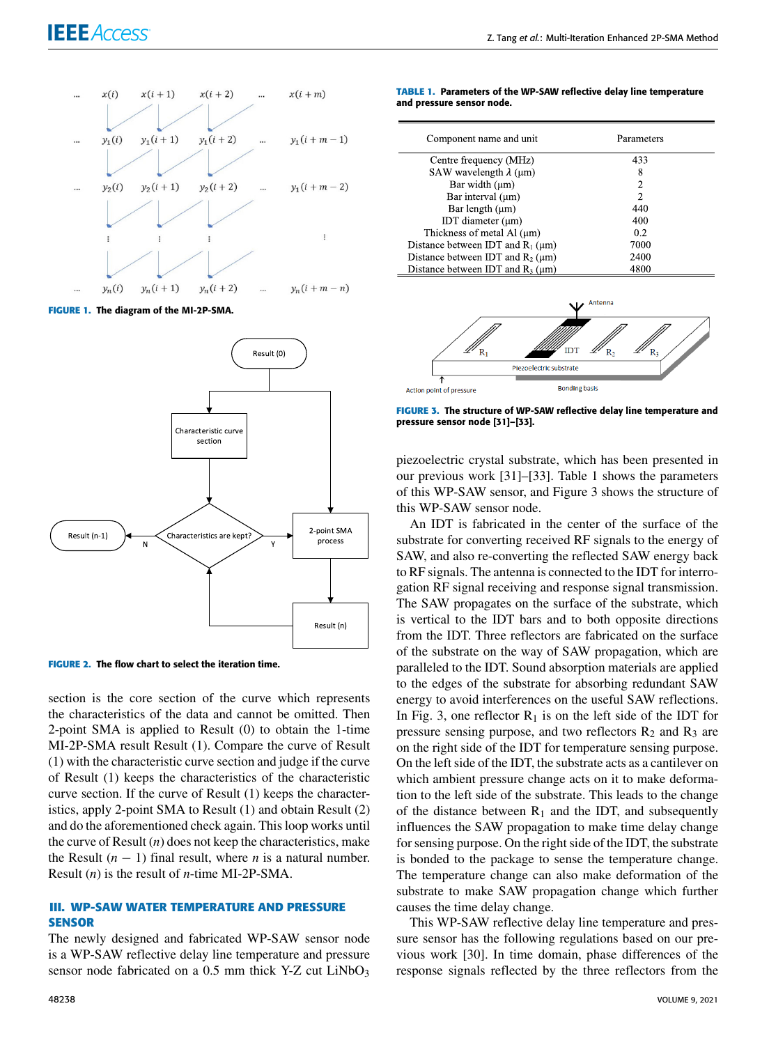# **IEEE** Access®



**FIGURE 1.** The diagram of the MI-2P-SMA.



**FIGURE 2.** The flow chart to select the iteration time.

section is the core section of the curve which represents the characteristics of the data and cannot be omitted. Then 2-point SMA is applied to Result (0) to obtain the 1-time MI-2P-SMA result Result (1). Compare the curve of Result (1) with the characteristic curve section and judge if the curve of Result (1) keeps the characteristics of the characteristic curve section. If the curve of Result (1) keeps the characteristics, apply 2-point SMA to Result (1) and obtain Result (2) and do the aforementioned check again. This loop works until the curve of Result (*n*) does not keep the characteristics, make the Result  $(n - 1)$  final result, where *n* is a natural number. Result (*n*) is the result of *n*-time MI-2P-SMA.

# **III. WP-SAW WATER TEMPERATURE AND PRESSURE SENSOR**

The newly designed and fabricated WP-SAW sensor node is a WP-SAW reflective delay line temperature and pressure sensor node fabricated on a  $0.5$  mm thick Y-Z cut LiNbO<sub>3</sub>

|  |                           |  | TABLE 1. Parameters of the WP-SAW reflective delay line temperature |  |  |
|--|---------------------------|--|---------------------------------------------------------------------|--|--|
|  | and pressure sensor node. |  |                                                                     |  |  |

| Component name and unit                   | Parameters |  |
|-------------------------------------------|------------|--|
| Centre frequency (MHz)                    | 433        |  |
| SAW wavelength $\lambda$ (µm)             | 8          |  |
| Bar width $(\mu m)$                       | 2          |  |
| Bar interval (µm)                         | 2          |  |
| Bar length $(\mu m)$                      | 440        |  |
| IDT diameter $(\mu m)$                    | 400        |  |
| Thickness of metal Al $(\mu m)$           | 0.2        |  |
| Distance between IDT and $R_1$ ( $\mu$ m) | 7000       |  |
| Distance between IDT and $R_2$ ( $\mu$ m) | 2400       |  |
| Distance between IDT and $R_3$ ( $\mu$ m) | 4800       |  |



**FIGURE 3.** The structure of WP-SAW reflective delay line temperature and pressure sensor node [31]–[33].

piezoelectric crystal substrate, which has been presented in our previous work [31]–[33]. Table 1 shows the parameters of this WP-SAW sensor, and Figure 3 shows the structure of this WP-SAW sensor node.

An IDT is fabricated in the center of the surface of the substrate for converting received RF signals to the energy of SAW, and also re-converting the reflected SAW energy back to RF signals. The antenna is connected to the IDT for interrogation RF signal receiving and response signal transmission. The SAW propagates on the surface of the substrate, which is vertical to the IDT bars and to both opposite directions from the IDT. Three reflectors are fabricated on the surface of the substrate on the way of SAW propagation, which are paralleled to the IDT. Sound absorption materials are applied to the edges of the substrate for absorbing redundant SAW energy to avoid interferences on the useful SAW reflections. In Fig. 3, one reflector  $R_1$  is on the left side of the IDT for pressure sensing purpose, and two reflectors  $R_2$  and  $R_3$  are on the right side of the IDT for temperature sensing purpose. On the left side of the IDT, the substrate acts as a cantilever on which ambient pressure change acts on it to make deformation to the left side of the substrate. This leads to the change of the distance between  $R_1$  and the IDT, and subsequently influences the SAW propagation to make time delay change for sensing purpose. On the right side of the IDT, the substrate is bonded to the package to sense the temperature change. The temperature change can also make deformation of the substrate to make SAW propagation change which further causes the time delay change.

This WP-SAW reflective delay line temperature and pressure sensor has the following regulations based on our previous work [30]. In time domain, phase differences of the response signals reflected by the three reflectors from the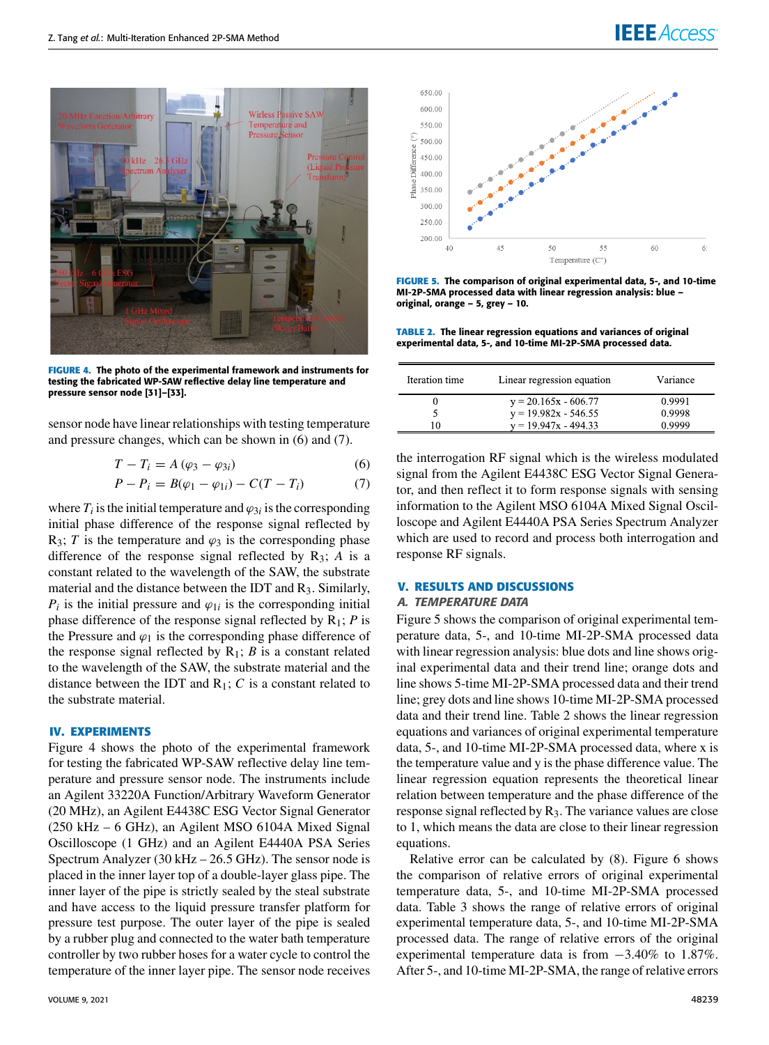

**FIGURE 4.** The photo of the experimental framework and instruments for testing the fabricated WP-SAW reflective delay line temperature and pressure sensor node [31]–[33].

sensor node have linear relationships with testing temperature and pressure changes, which can be shown in (6) and (7).

$$
T - T_i = A \left( \varphi_3 - \varphi_{3i} \right) \tag{6}
$$

$$
P - P_i = B(\varphi_1 - \varphi_{1i}) - C(T - T_i)
$$
 (7)

where  $T_i$  is the initial temperature and  $\varphi_{3i}$  is the corresponding initial phase difference of the response signal reflected by R<sub>3</sub>; *T* is the temperature and  $\varphi_3$  is the corresponding phase difference of the response signal reflected by R3; *A* is a constant related to the wavelength of the SAW, the substrate material and the distance between the IDT and R<sub>3</sub>. Similarly,  $P_i$  is the initial pressure and  $\varphi_{1i}$  is the corresponding initial phase difference of the response signal reflected by R1; *P* is the Pressure and  $\varphi_1$  is the corresponding phase difference of the response signal reflected by  $R_1$ ; *B* is a constant related to the wavelength of the SAW, the substrate material and the distance between the IDT and R1; *C* is a constant related to the substrate material.

#### **IV. EXPERIMENTS**

Figure 4 shows the photo of the experimental framework for testing the fabricated WP-SAW reflective delay line temperature and pressure sensor node. The instruments include an Agilent 33220A Function/Arbitrary Waveform Generator (20 MHz), an Agilent E4438C ESG Vector Signal Generator (250 kHz – 6 GHz), an Agilent MSO 6104A Mixed Signal Oscilloscope (1 GHz) and an Agilent E4440A PSA Series Spectrum Analyzer (30 kHz – 26.5 GHz). The sensor node is placed in the inner layer top of a double-layer glass pipe. The inner layer of the pipe is strictly sealed by the steal substrate and have access to the liquid pressure transfer platform for pressure test purpose. The outer layer of the pipe is sealed by a rubber plug and connected to the water bath temperature controller by two rubber hoses for a water cycle to control the temperature of the inner layer pipe. The sensor node receives



**FIGURE 5.** The comparison of original experimental data, 5-, and 10-time MI-2P-SMA processed data with linear regression analysis: blue – original, orange – 5, grey – 10.

**TABLE 2.** The linear regression equations and variances of original experimental data, 5-, and 10-time MI-2P-SMA processed data.

| Iteration time | Linear regression equation | Variance |
|----------------|----------------------------|----------|
|                | $y = 20.165x - 606.77$     | 0.9991   |
|                | $y = 19.982x - 546.55$     | 0.9998   |
| 10             | $v = 19.947x - 494.33$     | 0.9999   |

the interrogation RF signal which is the wireless modulated signal from the Agilent E4438C ESG Vector Signal Generator, and then reflect it to form response signals with sensing information to the Agilent MSO 6104A Mixed Signal Oscilloscope and Agilent E4440A PSA Series Spectrum Analyzer which are used to record and process both interrogation and response RF signals.

# **V. RESULTS AND DISCUSSIONS**

#### A. TEMPERATURE DATA

Figure 5 shows the comparison of original experimental temperature data, 5-, and 10-time MI-2P-SMA processed data with linear regression analysis: blue dots and line shows original experimental data and their trend line; orange dots and line shows 5-time MI-2P-SMA processed data and their trend line; grey dots and line shows 10-time MI-2P-SMA processed data and their trend line. Table 2 shows the linear regression equations and variances of original experimental temperature data, 5-, and 10-time MI-2P-SMA processed data, where x is the temperature value and y is the phase difference value. The linear regression equation represents the theoretical linear relation between temperature and the phase difference of the response signal reflected by  $R_3$ . The variance values are close to 1, which means the data are close to their linear regression equations.

Relative error can be calculated by (8). Figure 6 shows the comparison of relative errors of original experimental temperature data, 5-, and 10-time MI-2P-SMA processed data. Table 3 shows the range of relative errors of original experimental temperature data, 5-, and 10-time MI-2P-SMA processed data. The range of relative errors of the original experimental temperature data is from  $-3.40\%$  to 1.87%. After 5-, and 10-time MI-2P-SMA, the range of relative errors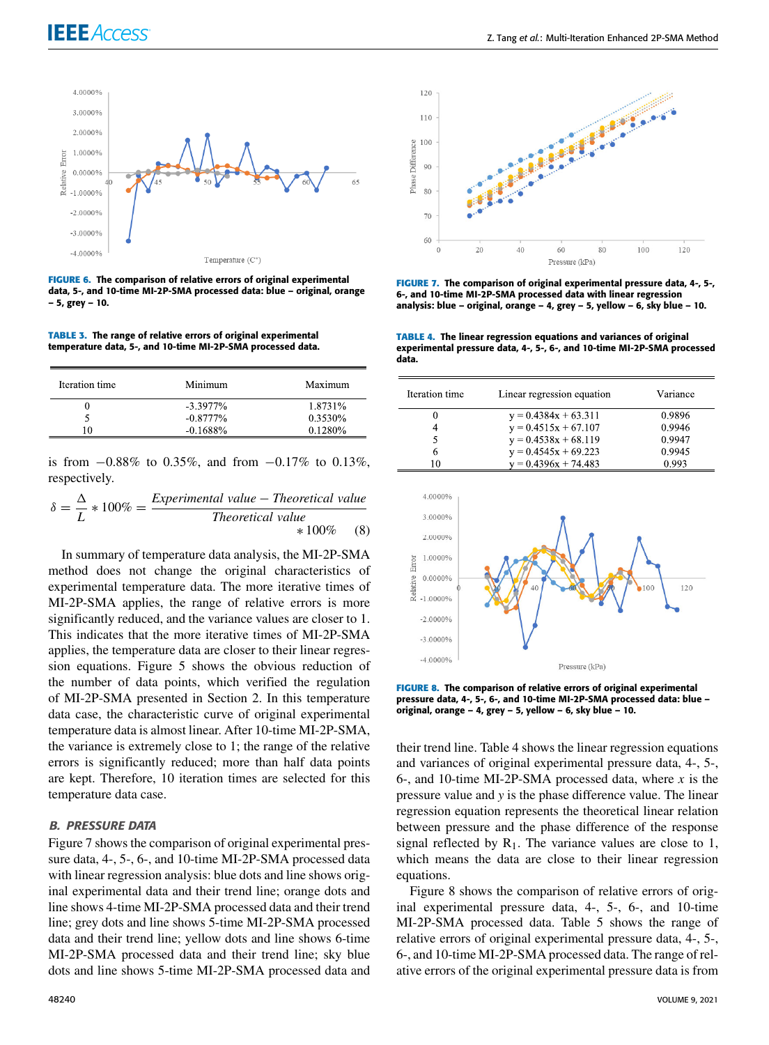

**FIGURE 6.** The comparison of relative errors of original experimental data, 5-, and 10-time MI-2P-SMA processed data: blue – original, orange – 5, grey – 10.

**TABLE 3.** The range of relative errors of original experimental temperature data, 5-, and 10-time MI-2P-SMA processed data.

| Iteration time | Minimum     | Maximum |
|----------------|-------------|---------|
|                | $-3.3977\%$ | 1.8731% |
|                | $-0.8777\%$ | 0.3530% |
|                | $-0.1688\%$ | 0.1280% |
|                |             |         |

is from  $-0.88\%$  to 0.35%, and from  $-0.17\%$  to 0.13%, respectively.

$$
\delta = \frac{\Delta}{L} * 100\% = \frac{Experimental \ value - Theoretical \ value}{Theoretical \ value} * 100\% \tag{8}
$$

In summary of temperature data analysis, the MI-2P-SMA method does not change the original characteristics of experimental temperature data. The more iterative times of MI-2P-SMA applies, the range of relative errors is more significantly reduced, and the variance values are closer to 1. This indicates that the more iterative times of MI-2P-SMA applies, the temperature data are closer to their linear regression equations. Figure 5 shows the obvious reduction of the number of data points, which verified the regulation of MI-2P-SMA presented in Section 2. In this temperature data case, the characteristic curve of original experimental temperature data is almost linear. After 10-time MI-2P-SMA, the variance is extremely close to 1; the range of the relative errors is significantly reduced; more than half data points are kept. Therefore, 10 iteration times are selected for this temperature data case.

# B. PRESSURE DATA

Figure 7 shows the comparison of original experimental pressure data, 4-, 5-, 6-, and 10-time MI-2P-SMA processed data with linear regression analysis: blue dots and line shows original experimental data and their trend line; orange dots and line shows 4-time MI-2P-SMA processed data and their trend line; grey dots and line shows 5-time MI-2P-SMA processed data and their trend line; yellow dots and line shows 6-time MI-2P-SMA processed data and their trend line; sky blue dots and line shows 5-time MI-2P-SMA processed data and



**FIGURE 7.** The comparison of original experimental pressure data, 4-, 5-, 6-, and 10-time MI-2P-SMA processed data with linear regression analysis: blue – original, orange – 4, grey – 5, yellow – 6, sky blue – 10.

**TABLE 4.** The linear regression equations and variances of original experimental pressure data, 4-, 5-, 6-, and 10-time MI-2P-SMA processed data.

| Iteration time | Linear regression equation | Variance |
|----------------|----------------------------|----------|
| 0              | $y = 0.4384x + 63.311$     | 0.9896   |
| 4              | $y = 0.4515x + 67.107$     | 0.9946   |
| 5              | $y = 0.4538x + 68.119$     | 0.9947   |
| 6              | $y = 0.4545x + 69.223$     | 0.9945   |
| ۱۵             | $y = 0.4396x + 74.483$     | 0.993    |



**FIGURE 8.** The comparison of relative errors of original experimental pressure data, 4-, 5-, 6-, and 10-time MI-2P-SMA processed data: blue – original, orange – 4, grey – 5, yellow – 6, sky blue – 10.

their trend line. Table 4 shows the linear regression equations and variances of original experimental pressure data, 4-, 5-, 6-, and 10-time MI-2P-SMA processed data, where *x* is the pressure value and *y* is the phase difference value. The linear regression equation represents the theoretical linear relation between pressure and the phase difference of the response signal reflected by  $R_1$ . The variance values are close to 1, which means the data are close to their linear regression equations.

Figure 8 shows the comparison of relative errors of original experimental pressure data, 4-, 5-, 6-, and 10-time MI-2P-SMA processed data. Table 5 shows the range of relative errors of original experimental pressure data, 4-, 5-, 6-, and 10-time MI-2P-SMA processed data. The range of relative errors of the original experimental pressure data is from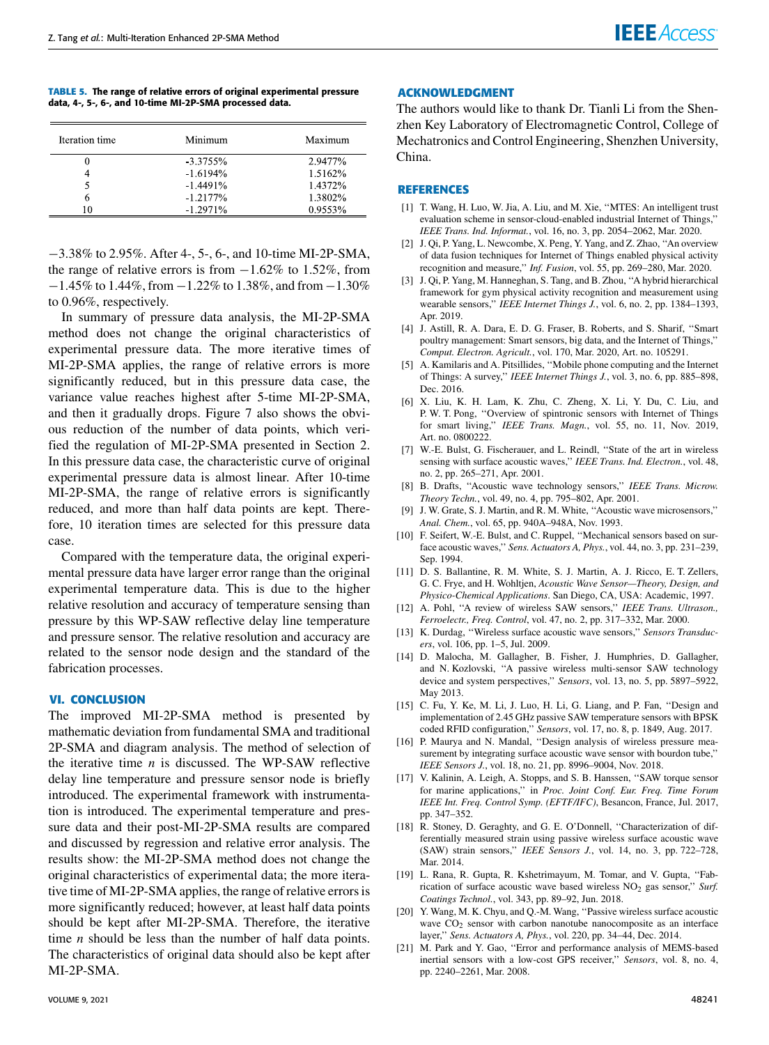**TABLE 5.** The range of relative errors of original experimental pressure data, 4-, 5-, 6-, and 10-time MI-2P-SMA processed data.

| Iteration time | Minimum     | Maximum |
|----------------|-------------|---------|
|                | $-3.3755\%$ | 2.9477% |
|                | $-1.6194%$  | 1.5162% |
|                | $-1.4491\%$ | 1.4372% |
|                | $-1.2177\%$ | 1.3802% |
|                | $-1.2971\%$ | 0.9553% |

−3.38% to 2.95%. After 4-, 5-, 6-, and 10-time MI-2P-SMA, the range of relative errors is from  $-1.62\%$  to 1.52%, from −1.45% to 1.44%, from −1.22% to 1.38%, and from −1.30% to 0.96%, respectively.

In summary of pressure data analysis, the MI-2P-SMA method does not change the original characteristics of experimental pressure data. The more iterative times of MI-2P-SMA applies, the range of relative errors is more significantly reduced, but in this pressure data case, the variance value reaches highest after 5-time MI-2P-SMA, and then it gradually drops. Figure 7 also shows the obvious reduction of the number of data points, which verified the regulation of MI-2P-SMA presented in Section 2. In this pressure data case, the characteristic curve of original experimental pressure data is almost linear. After 10-time MI-2P-SMA, the range of relative errors is significantly reduced, and more than half data points are kept. Therefore, 10 iteration times are selected for this pressure data case.

Compared with the temperature data, the original experimental pressure data have larger error range than the original experimental temperature data. This is due to the higher relative resolution and accuracy of temperature sensing than pressure by this WP-SAW reflective delay line temperature and pressure sensor. The relative resolution and accuracy are related to the sensor node design and the standard of the fabrication processes.

## **VI. CONCLUSION**

The improved MI-2P-SMA method is presented by mathematic deviation from fundamental SMA and traditional 2P-SMA and diagram analysis. The method of selection of the iterative time *n* is discussed. The WP-SAW reflective delay line temperature and pressure sensor node is briefly introduced. The experimental framework with instrumentation is introduced. The experimental temperature and pressure data and their post-MI-2P-SMA results are compared and discussed by regression and relative error analysis. The results show: the MI-2P-SMA method does not change the original characteristics of experimental data; the more iterative time of MI-2P-SMA applies, the range of relative errors is more significantly reduced; however, at least half data points should be kept after MI-2P-SMA. Therefore, the iterative time *n* should be less than the number of half data points. The characteristics of original data should also be kept after MI-2P-SMA.

## **ACKNOWLEDGMENT**

The authors would like to thank Dr. Tianli Li from the Shenzhen Key Laboratory of Electromagnetic Control, College of Mechatronics and Control Engineering, Shenzhen University, China.

## **REFERENCES**

- [1] T. Wang, H. Luo, W. Jia, A. Liu, and M. Xie, ''MTES: An intelligent trust evaluation scheme in sensor-cloud-enabled industrial Internet of Things,'' *IEEE Trans. Ind. Informat.*, vol. 16, no. 3, pp. 2054–2062, Mar. 2020.
- [2] J. Qi, P. Yang, L. Newcombe, X. Peng, Y. Yang, and Z. Zhao, ''An overview of data fusion techniques for Internet of Things enabled physical activity recognition and measure,'' *Inf. Fusion*, vol. 55, pp. 269–280, Mar. 2020.
- [3] J. Qi, P. Yang, M. Hanneghan, S. Tang, and B. Zhou, ''A hybrid hierarchical framework for gym physical activity recognition and measurement using wearable sensors,'' *IEEE Internet Things J.*, vol. 6, no. 2, pp. 1384–1393, Apr. 2019.
- [4] J. Astill, R. A. Dara, E. D. G. Fraser, B. Roberts, and S. Sharif, ''Smart poultry management: Smart sensors, big data, and the Internet of Things,'' *Comput. Electron. Agricult.*, vol. 170, Mar. 2020, Art. no. 105291.
- [5] A. Kamilaris and A. Pitsillides, ''Mobile phone computing and the Internet of Things: A survey,'' *IEEE Internet Things J.*, vol. 3, no. 6, pp. 885–898, Dec. 2016.
- [6] X. Liu, K. H. Lam, K. Zhu, C. Zheng, X. Li, Y. Du, C. Liu, and P. W. T. Pong, ''Overview of spintronic sensors with Internet of Things for smart living,'' *IEEE Trans. Magn.*, vol. 55, no. 11, Nov. 2019, Art. no. 0800222.
- [7] W.-E. Bulst, G. Fischerauer, and L. Reindl, "State of the art in wireless sensing with surface acoustic waves,'' *IEEE Trans. Ind. Electron.*, vol. 48, no. 2, pp. 265–271, Apr. 2001.
- [8] B. Drafts, ''Acoustic wave technology sensors,'' *IEEE Trans. Microw. Theory Techn.*, vol. 49, no. 4, pp. 795–802, Apr. 2001.
- [9] J. W. Grate, S. J. Martin, and R. M. White, ''Acoustic wave microsensors,'' *Anal. Chem.*, vol. 65, pp. 940A–948A, Nov. 1993.
- [10] F. Seifert, W.-E. Bulst, and C. Ruppel, "Mechanical sensors based on surface acoustic waves,'' *Sens. Actuators A, Phys.*, vol. 44, no. 3, pp. 231–239, Sep. 1994.
- [11] D. S. Ballantine, R. M. White, S. J. Martin, A. J. Ricco, E. T. Zellers, G. C. Frye, and H. Wohltjen, *Acoustic Wave Sensor—Theory, Design, and Physico-Chemical Applications*. San Diego, CA, USA: Academic, 1997.
- [12] A. Pohl, ''A review of wireless SAW sensors,'' *IEEE Trans. Ultrason., Ferroelectr., Freq. Control*, vol. 47, no. 2, pp. 317–332, Mar. 2000.
- [13] K. Durdag, ''Wireless surface acoustic wave sensors,'' *Sensors Transducers*, vol. 106, pp. 1–5, Jul. 2009.
- [14] D. Malocha, M. Gallagher, B. Fisher, J. Humphries, D. Gallagher, and N. Kozlovski, ''A passive wireless multi-sensor SAW technology device and system perspectives,'' *Sensors*, vol. 13, no. 5, pp. 5897–5922, May 2013.
- [15] C. Fu, Y. Ke, M. Li, J. Luo, H. Li, G. Liang, and P. Fan, ''Design and implementation of 2.45 GHz passive SAW temperature sensors with BPSK coded RFID configuration,'' *Sensors*, vol. 17, no. 8, p. 1849, Aug. 2017.
- [16] P. Maurya and N. Mandal, "Design analysis of wireless pressure measurement by integrating surface acoustic wave sensor with bourdon tube,'' *IEEE Sensors J.*, vol. 18, no. 21, pp. 8996–9004, Nov. 2018.
- [17] V. Kalinin, A. Leigh, A. Stopps, and S. B. Hanssen, ''SAW torque sensor for marine applications,'' in *Proc. Joint Conf. Eur. Freq. Time Forum IEEE Int. Freq. Control Symp. (EFTF/IFC)*, Besancon, France, Jul. 2017, pp. 347–352.
- [18] R. Stoney, D. Geraghty, and G. E. O'Donnell, "Characterization of differentially measured strain using passive wireless surface acoustic wave (SAW) strain sensors,'' *IEEE Sensors J.*, vol. 14, no. 3, pp. 722–728, Mar. 2014.
- [19] L. Rana, R. Gupta, R. Kshetrimayum, M. Tomar, and V. Gupta, "Fabrication of surface acoustic wave based wireless NO<sub>2</sub> gas sensor," Surf. *Coatings Technol.*, vol. 343, pp. 89–92, Jun. 2018.
- [20] Y. Wang, M. K. Chyu, and Q.-M. Wang, ''Passive wireless surface acoustic wave  $CO<sub>2</sub>$  sensor with carbon nanotube nanocomposite as an interface layer,'' *Sens. Actuators A, Phys.*, vol. 220, pp. 34–44, Dec. 2014.
- [21] M. Park and Y. Gao, "Error and performance analysis of MEMS-based inertial sensors with a low-cost GPS receiver,'' *Sensors*, vol. 8, no. 4, pp. 2240–2261, Mar. 2008.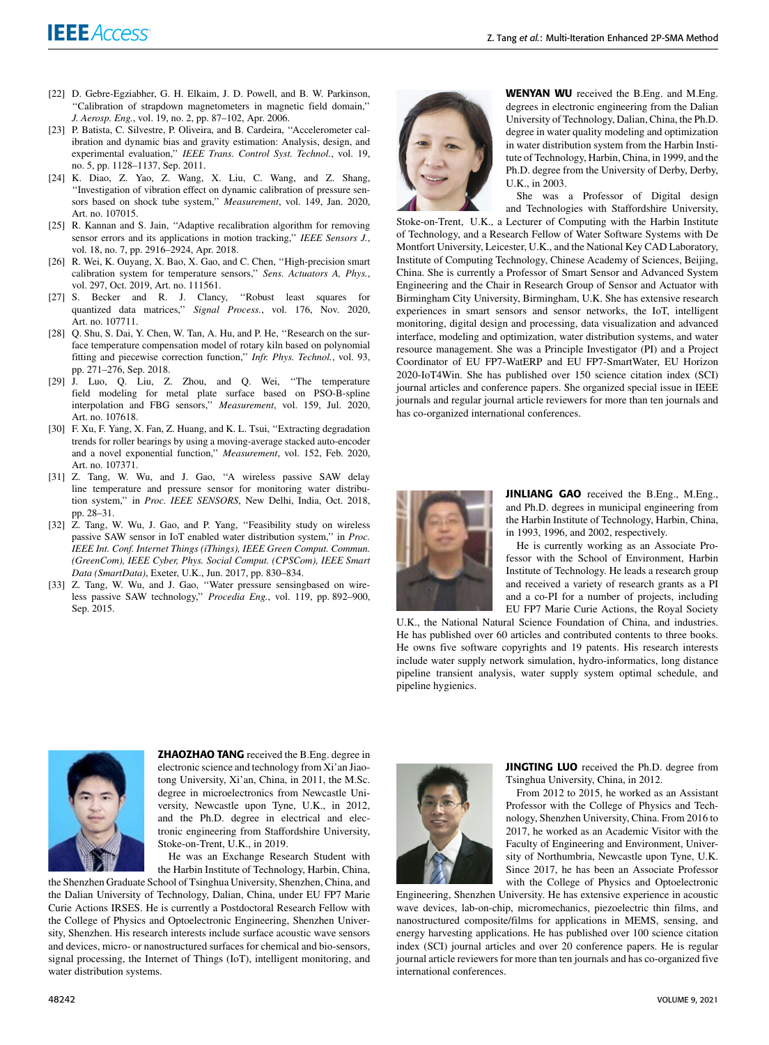- [22] D. Gebre-Egziabher, G. H. Elkaim, J. D. Powell, and B. W. Parkinson, ''Calibration of strapdown magnetometers in magnetic field domain,'' *J. Aerosp. Eng.*, vol. 19, no. 2, pp. 87–102, Apr. 2006.
- [23] P. Batista, C. Silvestre, P. Oliveira, and B. Cardeira, "Accelerometer calibration and dynamic bias and gravity estimation: Analysis, design, and experimental evaluation,'' *IEEE Trans. Control Syst. Technol.*, vol. 19, no. 5, pp. 1128–1137, Sep. 2011.
- [24] K. Diao, Z. Yao, Z. Wang, X. Liu, C. Wang, and Z. Shang, ''Investigation of vibration effect on dynamic calibration of pressure sensors based on shock tube system,'' *Measurement*, vol. 149, Jan. 2020, Art. no. 107015.
- [25] R. Kannan and S. Jain, "Adaptive recalibration algorithm for removing sensor errors and its applications in motion tracking,'' *IEEE Sensors J.*, vol. 18, no. 7, pp. 2916–2924, Apr. 2018.
- [26] R. Wei, K. Ouyang, X. Bao, X. Gao, and C. Chen, "High-precision smart calibration system for temperature sensors,'' *Sens. Actuators A, Phys.*, vol. 297, Oct. 2019, Art. no. 111561.
- [27] S. Becker and R. J. Clancy, ''Robust least squares for quantized data matrices,'' *Signal Process.*, vol. 176, Nov. 2020, Art. no. 107711.
- [28] Q. Shu, S. Dai, Y. Chen, W. Tan, A. Hu, and P. He, ''Research on the surface temperature compensation model of rotary kiln based on polynomial fitting and piecewise correction function,'' *Infr. Phys. Technol.*, vol. 93, pp. 271–276, Sep. 2018.
- [29] J. Luo, Q. Liu, Z. Zhou, and Q. Wei, ''The temperature field modeling for metal plate surface based on PSO-B-spline interpolation and FBG sensors,'' *Measurement*, vol. 159, Jul. 2020, Art. no. 107618.
- [30] F. Xu, F. Yang, X. Fan, Z. Huang, and K. L. Tsui, "Extracting degradation trends for roller bearings by using a moving-average stacked auto-encoder and a novel exponential function,'' *Measurement*, vol. 152, Feb. 2020, Art. no. 107371.
- [31] Z. Tang, W. Wu, and J. Gao, "A wireless passive SAW delay line temperature and pressure sensor for monitoring water distribution system,'' in *Proc. IEEE SENSORS*, New Delhi, India, Oct. 2018, pp. 28–31.
- [32] Z. Tang, W. Wu, J. Gao, and P. Yang, "Feasibility study on wireless passive SAW sensor in IoT enabled water distribution system,'' in *Proc. IEEE Int. Conf. Internet Things (iThings), IEEE Green Comput. Commun. (GreenCom), IEEE Cyber, Phys. Social Comput. (CPSCom), IEEE Smart Data (SmartData)*, Exeter, U.K., Jun. 2017, pp. 830–834.
- [33] Z. Tang, W. Wu, and J. Gao, "Water pressure sensingbased on wireless passive SAW technology,'' *Procedia Eng.*, vol. 119, pp. 892–900, Sep. 2015.



WENYAN WU received the B.Eng. and M.Eng. degrees in electronic engineering from the Dalian University of Technology, Dalian, China, the Ph.D. degree in water quality modeling and optimization in water distribution system from the Harbin Institute of Technology, Harbin, China, in 1999, and the Ph.D. degree from the University of Derby, Derby, U.K., in 2003.

She was a Professor of Digital design and Technologies with Staffordshire University,

Stoke-on-Trent, U.K., a Lecturer of Computing with the Harbin Institute of Technology, and a Research Fellow of Water Software Systems with De Montfort University, Leicester, U.K., and the National Key CAD Laboratory, Institute of Computing Technology, Chinese Academy of Sciences, Beijing, China. She is currently a Professor of Smart Sensor and Advanced System Engineering and the Chair in Research Group of Sensor and Actuator with Birmingham City University, Birmingham, U.K. She has extensive research experiences in smart sensors and sensor networks, the IoT, intelligent monitoring, digital design and processing, data visualization and advanced interface, modeling and optimization, water distribution systems, and water resource management. She was a Principle Investigator (PI) and a Project Coordinator of EU FP7-WatERP and EU FP7-SmartWater, EU Horizon 2020-IoT4Win. She has published over 150 science citation index (SCI) journal articles and conference papers. She organized special issue in IEEE journals and regular journal article reviewers for more than ten journals and has co-organized international conferences.



JINLIANG GAO received the B.Eng., M.Eng., and Ph.D. degrees in municipal engineering from the Harbin Institute of Technology, Harbin, China, in 1993, 1996, and 2002, respectively.

He is currently working as an Associate Professor with the School of Environment, Harbin Institute of Technology. He leads a research group and received a variety of research grants as a PI and a co-PI for a number of projects, including EU FP7 Marie Curie Actions, the Royal Society

U.K., the National Natural Science Foundation of China, and industries. He has published over 60 articles and contributed contents to three books. He owns five software copyrights and 19 patents. His research interests include water supply network simulation, hydro-informatics, long distance pipeline transient analysis, water supply system optimal schedule, and pipeline hygienics.



ZHAOZHAO TANG received the B.Eng. degree in electronic science and technology from Xi'an Jiaotong University, Xi'an, China, in 2011, the M.Sc. degree in microelectronics from Newcastle University, Newcastle upon Tyne, U.K., in 2012, and the Ph.D. degree in electrical and electronic engineering from Staffordshire University, Stoke-on-Trent, U.K., in 2019.

He was an Exchange Research Student with the Harbin Institute of Technology, Harbin, China,

the Shenzhen Graduate School of Tsinghua University, Shenzhen, China, and the Dalian University of Technology, Dalian, China, under EU FP7 Marie Curie Actions IRSES. He is currently a Postdoctoral Research Fellow with the College of Physics and Optoelectronic Engineering, Shenzhen University, Shenzhen. His research interests include surface acoustic wave sensors and devices, micro- or nanostructured surfaces for chemical and bio-sensors, signal processing, the Internet of Things (IoT), intelligent monitoring, and water distribution systems.



JINGTING LUO received the Ph.D. degree from Tsinghua University, China, in 2012.

From 2012 to 2015, he worked as an Assistant Professor with the College of Physics and Technology, Shenzhen University, China. From 2016 to 2017, he worked as an Academic Visitor with the Faculty of Engineering and Environment, University of Northumbria, Newcastle upon Tyne, U.K. Since 2017, he has been an Associate Professor with the College of Physics and Optoelectronic

Engineering, Shenzhen University. He has extensive experience in acoustic wave devices, lab-on-chip, micromechanics, piezoelectric thin films, and nanostructured composite/films for applications in MEMS, sensing, and energy harvesting applications. He has published over 100 science citation index (SCI) journal articles and over 20 conference papers. He is regular journal article reviewers for more than ten journals and has co-organized five international conferences.